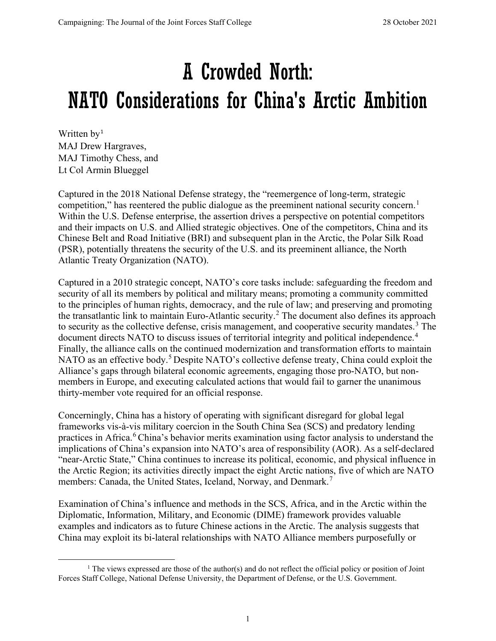# A Crowded North: NATO Considerations for China's Arctic Ambition

Written by<sup>[1](#page-0-0)</sup> MAJ Drew Hargraves, MAJ Timothy Chess, and Lt Col Armin Blueggel

Captured in the 2018 National Defense strategy, the "reemergence of long-term, strategic competition," has reentered the public dialogue as the preeminent national security concern.<sup>[1](#page-8-0)</sup> Within the U.S. Defense enterprise, the assertion drives a perspective on potential competitors and their impacts on U.S. and Allied strategic objectives. One of the competitors, China and its Chinese Belt and Road Initiative (BRI) and subsequent plan in the Arctic, the Polar Silk Road (PSR), potentially threatens the security of the U.S. and its preeminent alliance, the North Atlantic Treaty Organization (NATO).

Captured in a 2010 strategic concept, NATO's core tasks include: safeguarding the freedom and security of all its members by political and military means; promoting a community committed to the principles of human rights, democracy, and the rule of law; and preserving and promoting the transatlantic link to maintain Euro-Atlantic security.[2](#page-8-1) The document also defines its approach to security as the collective defense, crisis management, and cooperative security mandates.<sup>[3](#page-8-2)</sup> The document directs NATO to discuss issues of territorial integrity and political independence.<sup>[4](#page-8-3)</sup> Finally, the alliance calls on the continued modernization and transformation efforts to maintain NATO as an effective body.<sup>[5](#page-8-4)</sup> Despite NATO's collective defense treaty, China could exploit the Alliance's gaps through bilateral economic agreements, engaging those pro-NATO, but nonmembers in Europe, and executing calculated actions that would fail to garner the unanimous thirty-member vote required for an official response.

Concerningly, China has a history of operating with significant disregard for global legal frameworks vis-à-vis military coercion in the South China Sea (SCS) and predatory lending practices in Africa.<sup>[6](#page-8-5)</sup> China's behavior merits examination using factor analysis to understand the implications of China's expansion into NATO's area of responsibility (AOR). As a self-declared "near-Arctic State," China continues to increase its political, economic, and physical influence in the Arctic Region; its activities directly impact the eight Arctic nations, five of which are NATO members: Canada, the United States, Iceland, Norway, and Denmark.<sup>[7](#page-8-6)</sup>

Examination of China's influence and methods in the SCS, Africa, and in the Arctic within the Diplomatic, Information, Military, and Economic (DIME) framework provides valuable examples and indicators as to future Chinese actions in the Arctic. The analysis suggests that China may exploit its bi-lateral relationships with NATO Alliance members purposefully or

<span id="page-0-0"></span> $<sup>1</sup>$  The views expressed are those of the author(s) and do not reflect the official policy or position of Joint</sup> Forces Staff College, National Defense University, the Department of Defense, or the U.S. Government.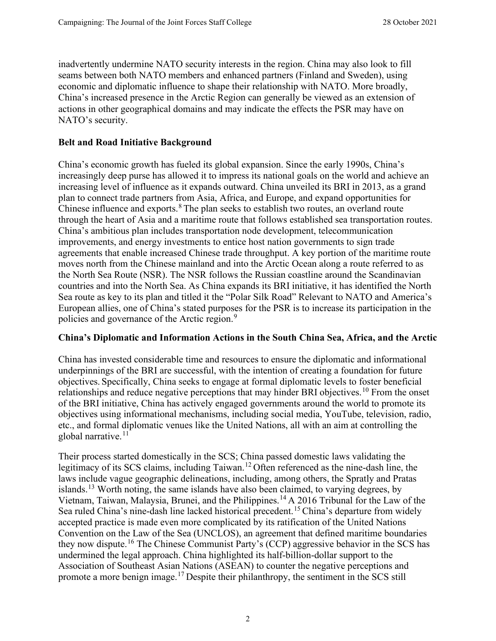inadvertently undermine NATO security interests in the region. China may also look to fill seams between both NATO members and enhanced partners (Finland and Sweden), using economic and diplomatic influence to shape their relationship with NATO. More broadly, China's increased presence in the Arctic Region can generally be viewed as an extension of actions in other geographical domains and may indicate the effects the PSR may have on NATO's security.

#### **Belt and Road Initiative Background**

China's economic growth has fueled its global expansion. Since the early 1990s, China's increasingly deep purse has allowed it to impress its national goals on the world and achieve an increasing level of influence as it expands outward. China unveiled its BRI in 2013, as a grand plan to connect trade partners from Asia, Africa, and Europe, and expand opportunities for Chinese influence and exports. $8$  The plan seeks to establish two routes, an overland route through the heart of Asia and a maritime route that follows established sea transportation routes. China's ambitious plan includes transportation node development, telecommunication improvements, and energy investments to entice host nation governments to sign trade agreements that enable increased Chinese trade throughput. A key portion of the maritime route moves north from the Chinese mainland and into the Arctic Ocean along a route referred to as the North Sea Route (NSR). The NSR follows the Russian coastline around the Scandinavian countries and into the North Sea. As China expands its BRI initiative, it has identified the North Sea route as key to its plan and titled it the "Polar Silk Road" Relevant to NATO and America's European allies, one of China's stated purposes for the PSR is to increase its participation in the policies and governance of the Arctic region.<sup>[9](#page-8-8)</sup>

#### **China's Diplomatic and Information Actions in the South China Sea, Africa, and the Arctic**

China has invested considerable time and resources to ensure the diplomatic and informational underpinnings of the BRI are successful, with the intention of creating a foundation for future objectives. Specifically, China seeks to engage at formal diplomatic levels to foster beneficial relationships and reduce negative perceptions that may hinder BRI objectives.<sup>[10](#page-8-9)</sup> From the onset of the BRI initiative, China has actively engaged governments around the world to promote its objectives using informational mechanisms, including social media, YouTube, television, radio, etc., and formal diplomatic venues like the United Nations, all with an aim at controlling the global narrative. $11$ 

Their process started domestically in the SCS; China passed domestic laws validating the legitimacy of its SCS claims, including Taiwan.<sup>[12](#page-8-11)</sup> Often referenced as the nine-dash line, the laws include vague geographic delineations, including, among others, the Spratly and Pratas islands.[13](#page-8-12) Worth noting, the same islands have also been claimed, to varying degrees, by Vietnam, Taiwan, Malaysia, Brunei, and the Philippines.[14](#page-8-13) A 2016 Tribunal for the Law of the Sea ruled China's nine-dash line lacked historical precedent.<sup>[15](#page-8-14)</sup> China's departure from widely accepted practice is made even more complicated by its ratification of the United Nations Convention on the Law of the Sea (UNCLOS), an agreement that defined maritime boundaries they now dispute.<sup>[16](#page-8-15)</sup> The Chinese Communist Party's (CCP) aggressive behavior in the SCS has undermined the legal approach. China highlighted its half-billion-dollar support to the Association of Southeast Asian Nations (ASEAN) to counter the negative perceptions and promote a more benign image.[17](#page-8-16) Despite their philanthropy, the sentiment in the SCS still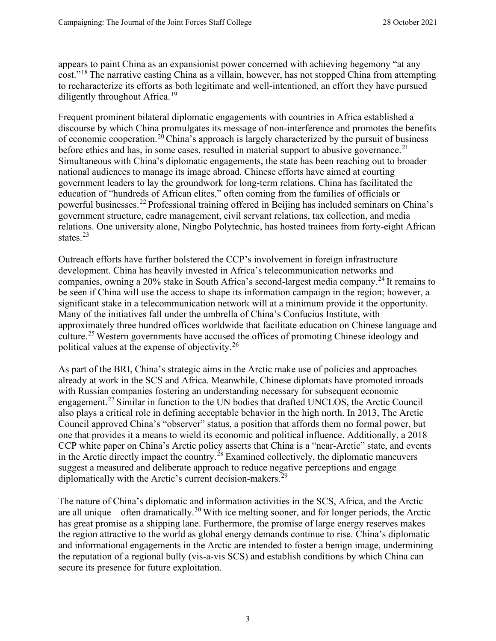appears to paint China as an expansionist power concerned with achieving hegemony "at any cost."[18](#page-8-17) The narrative casting China as a villain, however, has not stopped China from attempting to recharacterize its efforts as both legitimate and well-intentioned, an effort they have pursued diligently throughout Africa.<sup>[19](#page-8-18)</sup>

Frequent prominent bilateral diplomatic engagements with countries in Africa established a discourse by which China promulgates its message of non-interference and promotes the benefits of economic cooperation.<sup>[20](#page-8-19)</sup> China's approach is largely characterized by the pursuit of business before ethics and has, in some cases, resulted in material support to abusive governance.<sup>[21](#page-8-20)</sup> Simultaneous with China's diplomatic engagements, the state has been reaching out to broader national audiences to manage its image abroad. Chinese efforts have aimed at courting government leaders to lay the groundwork for long-term relations. China has facilitated the education of "hundreds of African elites," often coming from the families of officials or powerful businesses.[22](#page-9-0) Professional training offered in Beijing has included seminars on China's government structure, cadre management, civil servant relations, tax collection, and media relations. One university alone, Ningbo Polytechnic, has hosted trainees from forty-eight African states. [23](#page-9-1)

Outreach efforts have further bolstered the CCP's involvement in foreign infrastructure development. China has heavily invested in Africa's telecommunication networks and companies, owning a 20% stake in South Africa's second-largest media company.<sup>[24](#page-9-2)</sup> It remains to be seen if China will use the access to shape its information campaign in the region; however, a significant stake in a telecommunication network will at a minimum provide it the opportunity. Many of the initiatives fall under the umbrella of China's Confucius Institute, with approximately three hundred offices worldwide that facilitate education on Chinese language and culture.[25](#page-9-3) Western governments have accused the offices of promoting Chinese ideology and political values at the expense of objectivity.[26](#page-9-4)

As part of the BRI, China's strategic aims in the Arctic make use of policies and approaches already at work in the SCS and Africa. Meanwhile, Chinese diplomats have promoted inroads with Russian companies fostering an understanding necessary for subsequent economic engagement.[27](#page-9-5) Similar in function to the UN bodies that drafted UNCLOS, the Arctic Council also plays a critical role in defining acceptable behavior in the high north. In 2013, The Arctic Council approved China's "observer" status, a position that affords them no formal power, but one that provides it a means to wield its economic and political influence. Additionally, a 2018 CCP white paper on China's Arctic policy asserts that China is a "near-Arctic" state, and events in the Arctic directly impact the country.<sup>[28](#page-9-6)</sup> Examined collectively, the diplomatic maneuvers suggest a measured and deliberate approach to reduce negative perceptions and engage diplomatically with the Arctic's current decision-makers.<sup>[29](#page-9-7)</sup>

The nature of China's diplomatic and information activities in the SCS, Africa, and the Arctic are all unique—often dramatically.<sup>[30](#page-9-8)</sup> With ice melting sooner, and for longer periods, the Arctic has great promise as a shipping lane. Furthermore, the promise of large energy reserves makes the region attractive to the world as global energy demands continue to rise. China's diplomatic and informational engagements in the Arctic are intended to foster a benign image, undermining the reputation of a regional bully (vis-a-vis SCS) and establish conditions by which China can secure its presence for future exploitation.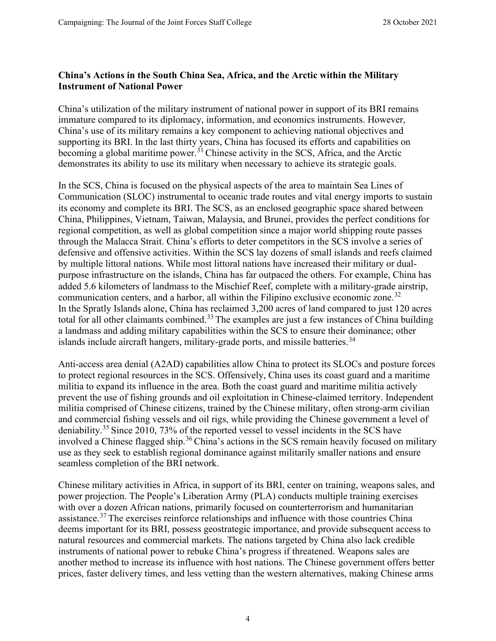## **China's Actions in the South China Sea, Africa, and the Arctic within the Military Instrument of National Power**

China's utilization of the military instrument of national power in support of its BRI remains immature compared to its diplomacy, information, and economics instruments. However, China's use of its military remains a key component to achieving national objectives and supporting its BRI. In the last thirty years, China has focused its efforts and capabilities on becoming a global maritime power.<sup>[31](#page-9-9)</sup> Chinese activity in the SCS, Africa, and the Arctic demonstrates its ability to use its military when necessary to achieve its strategic goals.

In the SCS, China is focused on the physical aspects of the area to maintain Sea Lines of Communication (SLOC) instrumental to oceanic trade routes and vital energy imports to sustain its economy and complete its BRI. The SCS, as an enclosed geographic space shared between China, Philippines, Vietnam, Taiwan, Malaysia, and Brunei, provides the perfect conditions for regional competition, as well as global competition since a major world shipping route passes through the Malacca Strait. China's efforts to deter competitors in the SCS involve a series of defensive and offensive activities. Within the SCS lay dozens of small islands and reefs claimed by multiple littoral nations. While most littoral nations have increased their military or dualpurpose infrastructure on the islands, China has far outpaced the others. For example, China has added 5.6 kilometers of landmass to the Mischief Reef, complete with a military-grade airstrip, communication centers, and a harbor, all within the Filipino exclusive economic zone.<sup>[32](#page-9-10)</sup> In the Spratly Islands alone, China has reclaimed 3,200 acres of land compared to just 120 acres total for all other claimants combined.<sup>[33](#page-9-11)</sup> The examples are just a few instances of China building a landmass and adding military capabilities within the SCS to ensure their dominance; other islands include aircraft hangers, military-grade ports, and missile batteries.<sup>[34](#page-9-12)</sup>

Anti-access area denial (A2AD) capabilities allow China to protect its SLOCs and posture forces to protect regional resources in the SCS. Offensively, China uses its coast guard and a maritime militia to expand its influence in the area. Both the coast guard and maritime militia actively prevent the use of fishing grounds and oil exploitation in Chinese-claimed territory. Independent militia comprised of Chinese citizens, trained by the Chinese military, often strong-arm civilian and commercial fishing vessels and oil rigs, while providing the Chinese government a level of deniability.<sup>[35](#page-9-13)</sup> Since 2010, 73% of the reported vessel to vessel incidents in the SCS have involved a Chinese flagged ship.<sup>[36](#page-9-14)</sup> China's actions in the SCS remain heavily focused on military use as they seek to establish regional dominance against militarily smaller nations and ensure seamless completion of the BRI network.

Chinese military activities in Africa, in support of its BRI, center on training, weapons sales, and power projection. The People's Liberation Army (PLA) conducts multiple training exercises with over a dozen African nations, primarily focused on counterterrorism and humanitarian assistance.<sup>[37](#page-9-15)</sup> The exercises reinforce relationships and influence with those countries China deems important for its BRI, possess geostrategic importance, and provide subsequent access to natural resources and commercial markets. The nations targeted by China also lack credible instruments of national power to rebuke China's progress if threatened. Weapons sales are another method to increase its influence with host nations. The Chinese government offers better prices, faster delivery times, and less vetting than the western alternatives, making Chinese arms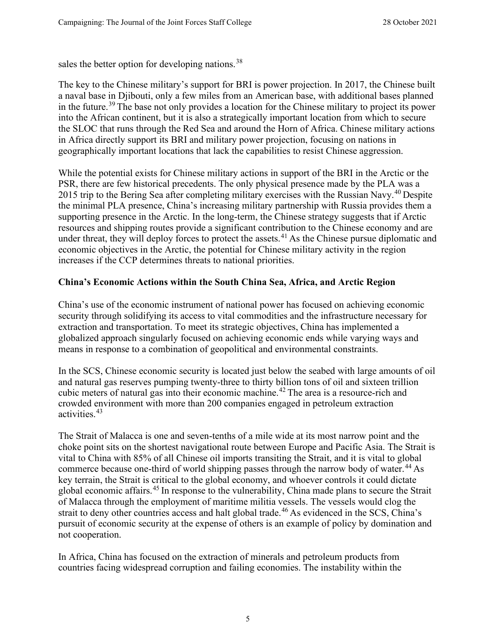sales the better option for developing nations.<sup>[38](#page-9-16)</sup>

The key to the Chinese military's support for BRI is power projection. In 2017, the Chinese built a naval base in Djibouti, only a few miles from an American base, with additional bases planned in the future.<sup>[39](#page-9-17)</sup> The base not only provides a location for the Chinese military to project its power into the African continent, but it is also a strategically important location from which to secure the SLOC that runs through the Red Sea and around the Horn of Africa. Chinese military actions in Africa directly support its BRI and military power projection, focusing on nations in geographically important locations that lack the capabilities to resist Chinese aggression.

While the potential exists for Chinese military actions in support of the BRI in the Arctic or the PSR, there are few historical precedents. The only physical presence made by the PLA was a 2015 trip to the Bering Sea after completing military exercises with the Russian Navy.<sup>[40](#page-9-18)</sup> Despite the minimal PLA presence, China's increasing military partnership with Russia provides them a supporting presence in the Arctic. In the long-term, the Chinese strategy suggests that if Arctic resources and shipping routes provide a significant contribution to the Chinese economy and are under threat, they will deploy forces to protect the assets.<sup>[41](#page-9-19)</sup> As the Chinese pursue diplomatic and economic objectives in the Arctic, the potential for Chinese military activity in the region increases if the CCP determines threats to national priorities.

## **China's Economic Actions within the South China Sea, Africa, and Arctic Region**

China's use of the economic instrument of national power has focused on achieving economic security through solidifying its access to vital commodities and the infrastructure necessary for extraction and transportation. To meet its strategic objectives, China has implemented a globalized approach singularly focused on achieving economic ends while varying ways and means in response to a combination of geopolitical and environmental constraints.

In the SCS, Chinese economic security is located just below the seabed with large amounts of oil and natural gas reserves pumping twenty-three to thirty billion tons of oil and sixteen trillion cubic meters of natural gas into their economic machine.[42](#page-9-20) The area is a resource-rich and crowded environment with more than 200 companies engaged in petroleum extraction activities.[43](#page-9-21)

The Strait of Malacca is one and seven-tenths of a mile wide at its most narrow point and the choke point sits on the shortest navigational route between Europe and Pacific Asia. The Strait is vital to China with 85% of all Chinese oil imports transiting the Strait, and it is vital to global commerce because one-third of world shipping passes through the narrow body of water.<sup>[44](#page-9-22)</sup> As key terrain, the Strait is critical to the global economy, and whoever controls it could dictate global economic affairs.[45](#page-9-23) In response to the vulnerability, China made plans to secure the Strait of Malacca through the employment of maritime militia vessels. The vessels would clog the strait to deny other countries access and halt global trade.<sup>[46](#page-9-24)</sup> As evidenced in the SCS, China's pursuit of economic security at the expense of others is an example of policy by domination and not cooperation.

In Africa, China has focused on the extraction of minerals and petroleum products from countries facing widespread corruption and failing economies. The instability within the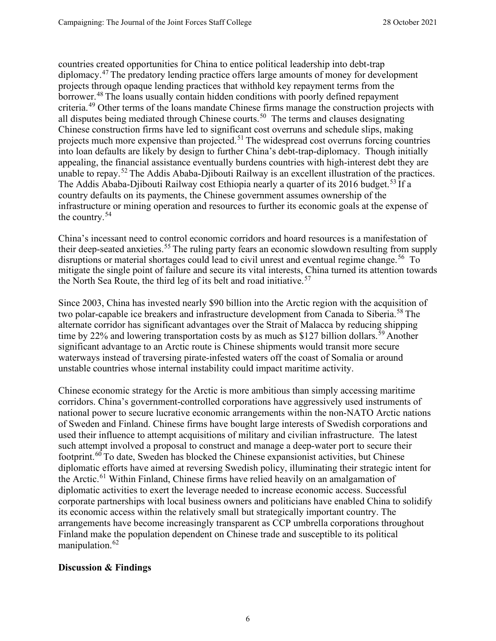countries created opportunities for China to entice political leadership into debt-trap diplomacy.[47](#page-9-25) The predatory lending practice offers large amounts of money for development projects through opaque lending practices that withhold key repayment terms from the borrower.<sup>[48](#page-9-26)</sup> The loans usually contain hidden conditions with poorly defined repayment criteria.<sup>[49](#page-9-27)</sup> Other terms of the loans mandate Chinese firms manage the construction projects with all disputes being mediated through Chinese courts.<sup>[50](#page-9-28)</sup> The terms and clauses designating Chinese construction firms have led to significant cost overruns and schedule slips, making projects much more expensive than projected.<sup>[51](#page-9-29)</sup> The widespread cost overruns forcing countries into loan defaults are likely by design to further China's debt-trap-diplomacy. Though initially appealing, the financial assistance eventually burdens countries with high-interest debt they are unable to repay.<sup>[52](#page-9-30)</sup> The Addis Ababa-Djibouti Railway is an excellent illustration of the practices. The Addis Ababa-Djibouti Railway cost Ethiopia nearly a quarter of its 2016 budget.<sup>[53](#page-10-0)</sup> If a country defaults on its payments, the Chinese government assumes ownership of the infrastructure or mining operation and resources to further its economic goals at the expense of the country.[54](#page-10-1)

China's incessant need to control economic corridors and hoard resources is a manifestation of their deep-seated anxieties.<sup>[55](#page-10-2)</sup> The ruling party fears an economic slowdown resulting from supply disruptions or material shortages could lead to civil unrest and eventual regime change.<sup>[56](#page-10-3)</sup> To mitigate the single point of failure and secure its vital interests, China turned its attention towards the North Sea Route, the third leg of its belt and road initiative.<sup>[57](#page-10-4)</sup>

Since 2003, China has invested nearly \$90 billion into the Arctic region with the acquisition of two polar-capable ice breakers and infrastructure development from Canada to Siberia.<sup>[58](#page-10-5)</sup> The alternate corridor has significant advantages over the Strait of Malacca by reducing shipping time by 22% and lowering transportation costs by as much as \$127 billion dollars.<sup>[59](#page-10-6)</sup> Another significant advantage to an Arctic route is Chinese shipments would transit more secure waterways instead of traversing pirate-infested waters off the coast of Somalia or around unstable countries whose internal instability could impact maritime activity.

Chinese economic strategy for the Arctic is more ambitious than simply accessing maritime corridors. China's government-controlled corporations have aggressively used instruments of national power to secure lucrative economic arrangements within the non-NATO Arctic nations of Sweden and Finland. Chinese firms have bought large interests of Swedish corporations and used their influence to attempt acquisitions of military and civilian infrastructure. The latest such attempt involved a proposal to construct and manage a deep-water port to secure their footprint.[60](#page-10-7) To date, Sweden has blocked the Chinese expansionist activities, but Chinese diplomatic efforts have aimed at reversing Swedish policy, illuminating their strategic intent for the Arctic.<sup>[61](#page-10-8)</sup> Within Finland, Chinese firms have relied heavily on an amalgamation of diplomatic activities to exert the leverage needed to increase economic access. Successful corporate partnerships with local business owners and politicians have enabled China to solidify its economic access within the relatively small but strategically important country. The arrangements have become increasingly transparent as CCP umbrella corporations throughout Finland make the population dependent on Chinese trade and susceptible to its political manipulation.<sup>[62](#page-10-9)</sup>

## **Discussion & Findings**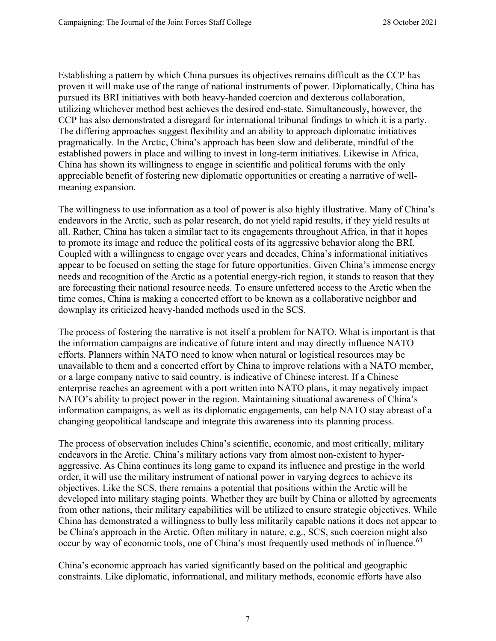Establishing a pattern by which China pursues its objectives remains difficult as the CCP has proven it will make use of the range of national instruments of power. Diplomatically, China has pursued its BRI initiatives with both heavy-handed coercion and dexterous collaboration, utilizing whichever method best achieves the desired end-state. Simultaneously, however, the CCP has also demonstrated a disregard for international tribunal findings to which it is a party. The differing approaches suggest flexibility and an ability to approach diplomatic initiatives pragmatically. In the Arctic, China's approach has been slow and deliberate, mindful of the established powers in place and willing to invest in long-term initiatives. Likewise in Africa, China has shown its willingness to engage in scientific and political forums with the only appreciable benefit of fostering new diplomatic opportunities or creating a narrative of wellmeaning expansion.

The willingness to use information as a tool of power is also highly illustrative. Many of China's endeavors in the Arctic, such as polar research, do not yield rapid results, if they yield results at all. Rather, China has taken a similar tact to its engagements throughout Africa, in that it hopes to promote its image and reduce the political costs of its aggressive behavior along the BRI. Coupled with a willingness to engage over years and decades, China's informational initiatives appear to be focused on setting the stage for future opportunities. Given China's immense energy needs and recognition of the Arctic as a potential energy-rich region, it stands to reason that they are forecasting their national resource needs. To ensure unfettered access to the Arctic when the time comes, China is making a concerted effort to be known as a collaborative neighbor and downplay its criticized heavy-handed methods used in the SCS.

The process of fostering the narrative is not itself a problem for NATO. What is important is that the information campaigns are indicative of future intent and may directly influence NATO efforts. Planners within NATO need to know when natural or logistical resources may be unavailable to them and a concerted effort by China to improve relations with a NATO member, or a large company native to said country, is indicative of Chinese interest. If a Chinese enterprise reaches an agreement with a port written into NATO plans, it may negatively impact NATO's ability to project power in the region. Maintaining situational awareness of China's information campaigns, as well as its diplomatic engagements, can help NATO stay abreast of a changing geopolitical landscape and integrate this awareness into its planning process.

The process of observation includes China's scientific, economic, and most critically, military endeavors in the Arctic. China's military actions vary from almost non-existent to hyperaggressive. As China continues its long game to expand its influence and prestige in the world order, it will use the military instrument of national power in varying degrees to achieve its objectives. Like the SCS, there remains a potential that positions within the Arctic will be developed into military staging points. Whether they are built by China or allotted by agreements from other nations, their military capabilities will be utilized to ensure strategic objectives. While China has demonstrated a willingness to bully less militarily capable nations it does not appear to be China's approach in the Arctic. Often military in nature, e.g., SCS, such coercion might also occur by way of economic tools, one of China's most frequently used methods of influence.<sup>[63](#page-10-10)</sup>

China's economic approach has varied significantly based on the political and geographic constraints. Like diplomatic, informational, and military methods, economic efforts have also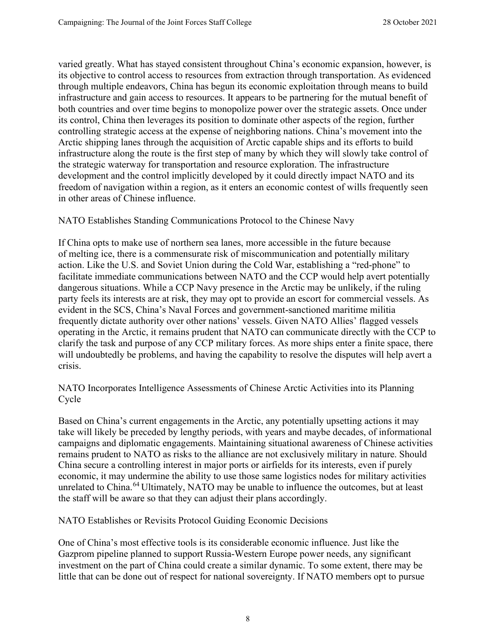varied greatly. What has stayed consistent throughout China's economic expansion, however, is its objective to control access to resources from extraction through transportation. As evidenced through multiple endeavors, China has begun its economic exploitation through means to build infrastructure and gain access to resources. It appears to be partnering for the mutual benefit of both countries and over time begins to monopolize power over the strategic assets. Once under its control, China then leverages its position to dominate other aspects of the region, further controlling strategic access at the expense of neighboring nations. China's movement into the Arctic shipping lanes through the acquisition of Arctic capable ships and its efforts to build infrastructure along the route is the first step of many by which they will slowly take control of the strategic waterway for transportation and resource exploration. The infrastructure development and the control implicitly developed by it could directly impact NATO and its freedom of navigation within a region, as it enters an economic contest of wills frequently seen in other areas of Chinese influence.

NATO Establishes Standing Communications Protocol to the Chinese Navy

If China opts to make use of northern sea lanes, more accessible in the future because of melting ice, there is a commensurate risk of miscommunication and potentially military action. Like the U.S. and Soviet Union during the Cold War, establishing a "red-phone" to facilitate immediate communications between NATO and the CCP would help avert potentially dangerous situations. While a CCP Navy presence in the Arctic may be unlikely, if the ruling party feels its interests are at risk, they may opt to provide an escort for commercial vessels. As evident in the SCS, China's Naval Forces and government-sanctioned maritime militia frequently dictate authority over other nations' vessels. Given NATO Allies' flagged vessels operating in the Arctic, it remains prudent that NATO can communicate directly with the CCP to clarify the task and purpose of any CCP military forces. As more ships enter a finite space, there will undoubtedly be problems, and having the capability to resolve the disputes will help avert a crisis.

NATO Incorporates Intelligence Assessments of Chinese Arctic Activities into its Planning Cycle

Based on China's current engagements in the Arctic, any potentially upsetting actions it may take will likely be preceded by lengthy periods, with years and maybe decades, of informational campaigns and diplomatic engagements. Maintaining situational awareness of Chinese activities remains prudent to NATO as risks to the alliance are not exclusively military in nature. Should China secure a controlling interest in major ports or airfields for its interests, even if purely economic, it may undermine the ability to use those same logistics nodes for military activities unrelated to China.<sup>[64](#page-10-11)</sup> Ultimately, NATO may be unable to influence the outcomes, but at least the staff will be aware so that they can adjust their plans accordingly.

NATO Establishes or Revisits Protocol Guiding Economic Decisions

One of China's most effective tools is its considerable economic influence. Just like the Gazprom pipeline planned to support Russia-Western Europe power needs, any significant investment on the part of China could create a similar dynamic. To some extent, there may be little that can be done out of respect for national sovereignty. If NATO members opt to pursue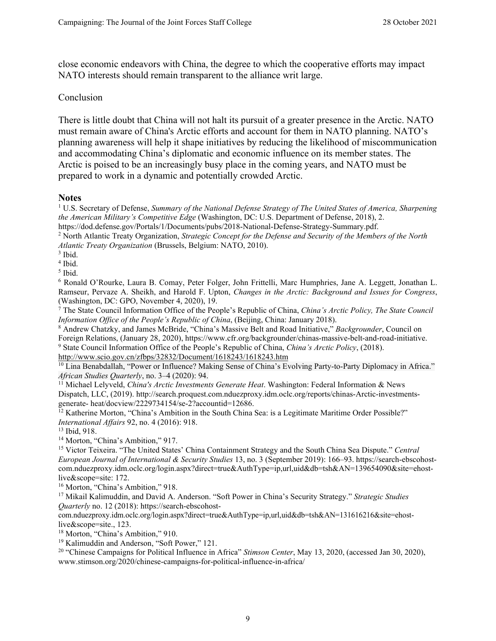close economic endeavors with China, the degree to which the cooperative efforts may impact NATO interests should remain transparent to the alliance writ large.

#### Conclusion

There is little doubt that China will not halt its pursuit of a greater presence in the Arctic. NATO must remain aware of China's Arctic efforts and account for them in NATO planning. NATO's planning awareness will help it shape initiatives by reducing the likelihood of miscommunication and accommodating China's diplomatic and economic influence on its member states. The Arctic is poised to be an increasingly busy place in the coming years, and NATO must be prepared to work in a dynamic and potentially crowded Arctic.

#### <span id="page-8-0"></span>**Notes**

<sup>1</sup> U.S. Secretary of Defense, *Summary of the National Defense Strategy of The United States of America, Sharpening the American Military's Competitive Edge* (Washington, DC: U.S. Department of Defense, 2018), 2.

<span id="page-8-1"></span>https://dod.defense.gov/Portals/1/Documents/pubs/2018-National-Defense-Strategy-Summary.pdf.

<span id="page-8-2"></span><sup>2</sup> North Atlantic Treaty Organization, *Strategic Concept for the Defense and Security of the Members of the North Atlantic Treaty Organization* (Brussels, Belgium: NATO, 2010).

<span id="page-8-3"></span> $3$  Ibid.

<span id="page-8-4"></span><sup>4</sup> Ibid.

<span id="page-8-5"></span><sup>5</sup> Ibid.

<sup>6</sup> Ronald O'Rourke, Laura B. Comay, Peter Folger, John Frittelli, Marc Humphries, Jane A. Leggett, Jonathan L. Ramseur, Pervaze A. Sheikh, and Harold F. Upton, *Changes in the Arctic: Background and Issues for Congress*, (Washington, DC: GPO, November 4, 2020), 19.

<span id="page-8-7"></span><span id="page-8-6"></span><sup>7</sup> The State Council Information Office of the People's Republic of China, *China's Arctic Policy, The State Council Information Office of the People's Republic of China*, (Beijing, China: January 2018).

<span id="page-8-8"></span><sup>8</sup> Andrew Chatzky, and James McBride, "China's Massive Belt and Road Initiative," *Backgrounder*, Council on Foreign Relations, (January 28, 2020), https:/[/www.cfr.org/backgrounder/chinas-massive-belt-and-road-initiative.](http://www.cfr.org/backgrounder/chinas-massive-belt-and-road-initiative)

<sup>9</sup> State Council Information Office of the People's Republic of China, *China's Arctic Policy*, (2018).

<span id="page-8-9"></span><http://www.scio.gov.cn/zfbps/32832/Document/1618243/1618243.htm>

<span id="page-8-10"></span><sup>10</sup> Lina Benabdallah, "Power or Influence? Making Sense of China's Evolving Party-to-Party Diplomacy in Africa."<br>African Studies Quarterly, no. 3–4 (2020): 94.

<sup>11</sup> Michael Lelyveld, *China's Arctic Investments Generate Heat*. Washington: Federal Information & News Dispatch, LLC, (2019). [http://search.proquest.com.nduezproxy.idm.oclc.org/reports/chinas-Arctic-investments](http://search.proquest.com.nduezproxy.idm.oclc.org/reports/chinas-Arctic-investments-generate-)[generate-](http://search.proquest.com.nduezproxy.idm.oclc.org/reports/chinas-Arctic-investments-generate-) heat/docview/2229734154/se-2?accountid=12686.

<span id="page-8-12"></span><span id="page-8-11"></span><sup>12</sup> Katherine Morton, "China's Ambition in the South China Sea: is a Legitimate Maritime Order Possible?" *International Affairs* 92, no. 4 (2016): 918.

<span id="page-8-13"></span><sup>13</sup> Ibid, 918.

<span id="page-8-14"></span><sup>14</sup> Morton, "China's Ambition," 917.

<sup>15</sup> Victor Teixeira. "The United States' China Containment Strategy and the South China Sea Dispute." *Central European Journal of International & Security Studies* 13, no. 3 (September 2019): 166–93. https://search-ebscohostcom.nduezproxy.idm.oclc.org/login.aspx?direct=true&AuthType=ip,url,uid&db=tsh&AN=139654090&site=ehostlive&scope=site: 172.

<span id="page-8-16"></span><span id="page-8-15"></span><sup>16</sup> Morton, "China's Ambition," 918.

<sup>17</sup> Mikail Kalimuddin, and David A. Anderson. "Soft Power in China's Security Strategy." *Strategic Studies Quarterly* no. 12 (2018): https://search-ebscohost-

<span id="page-8-17"></span>com.nduezproxy.idm.oclc.org/login.aspx?direct=true&AuthType=ip,url,uid&db=tsh&AN=131616216&site=ehostlive&scope=site., 123.

<span id="page-8-18"></span><sup>18</sup> Morton, "China's Ambition," 910.

<span id="page-8-19"></span><sup>19</sup> Kalimuddin and Anderson, "Soft Power," 121.

<span id="page-8-20"></span><sup>20</sup> "Chinese Campaigns for Political Influence in Africa" *Stimson Center*, May 13, 2020, (accessed Jan 30, 2020)[,](http://www.stimson.org/2020/chinese-campaigns-for-political-influence-in-africa/) [www.stimson.org/2020/chinese-campaigns-for-political-influence-in-africa/](http://www.stimson.org/2020/chinese-campaigns-for-political-influence-in-africa/)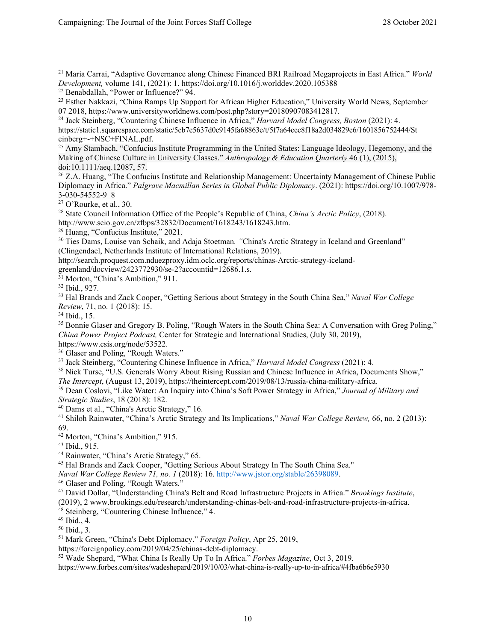<span id="page-9-0"></span><sup>21</sup> Maria Carrai, "Adaptive Governance along Chinese Financed BRI Railroad Megaprojects in East Africa." *World Development,* volume 141, (2021): 1. https://doi.org/10.1016/j.worlddev.2020.105388

<span id="page-9-1"></span><sup>22</sup> Benabdallah, "Power or Influence?" 94.

<span id="page-9-2"></span><sup>23</sup> Esther Nakkazi, "China Ramps Up Support for African Higher Education," University World News, September 07 2018, https://www.universityworldnews.com/post.php?story=20180907083412817.

<sup>24</sup> Jack Steinberg, "Countering Chinese Influence in Africa," *Harvard Model Congress, Boston* (2021): 4. https://static1.squarespace.com/static/5cb7e5637d0c9145fa68863e/t/5f7a64eec8f18a2d034829e6/1601856752444/St einberg+-+NSC+FINAL.pdf.

<span id="page-9-3"></span><sup>25</sup> Amy Stambach, "Confucius Institute Programming in the United States: Language Ideology, Hegemony, and the Making of Chinese Culture in University Classes." *Anthropology & Education Quarterly* 46 (1), (2015), doi:10.1111/aeq.12087, 57.

<span id="page-9-4"></span><sup>26</sup> Z.A. Huang, "The Confucius Institute and Relationship Management: Uncertainty Management of Chinese Public Diplomacy in Africa." *Palgrave Macmillan Series in Global Public Diplomacy*. (2021): https://doi.org/10.1007/978- 3-030-54552-9\_8

<span id="page-9-6"></span><span id="page-9-5"></span><sup>27</sup> O'Rourke, et al., 30.

<sup>28</sup> State Council Information Office of the People's Republic of China, *China's Arctic Policy*, (2018).

<span id="page-9-7"></span>http://www.scio.gov.cn/zfbps/32832/Document/1618243/1618243.htm.

<span id="page-9-8"></span><sup>29</sup> Huang, "Confucius Institute," 2021.

<sup>30</sup> Ties Dams, Louise van Schaik, and Adaja Stoetman*. "*China's Arctic Strategy in Iceland and Greenland" (Clingendael, Netherlands Institute of International Relations, 2019).

<span id="page-9-9"></span>[http://search.proquest.com.nduezproxy.idm.oclc.org/reports/chinas-Arctic-strategy-iceland-](http://search.proquest.com.nduezproxy.idm.oclc.org/reports/chinas-Arctic-strategy-iceland-greenland/docview/2423772930/se-2?accountid=12686)

[greenland/docview/2423772930/se-2?accountid=12686.](http://search.proquest.com.nduezproxy.idm.oclc.org/reports/chinas-Arctic-strategy-iceland-greenland/docview/2423772930/se-2?accountid=12686)1.s.

<sup>31</sup> Morton, "China's Ambition," 911.

<span id="page-9-11"></span><span id="page-9-10"></span><sup>32</sup> Ibid., 927.

<span id="page-9-12"></span><sup>33</sup> Hal Brands and Zack Cooper, "Getting Serious about Strategy in the South China Sea," *Naval War College Review*, 71, no. 1 (2018): 15.

<span id="page-9-13"></span><sup>34</sup> Ibid., 15.

<sup>35</sup> Bonnie Glaser and Gregory B. Poling, "Rough Waters in the South China Sea: A Conversation with Greg Poling," *China Power Project Podcast,* Center for Strategic and International Studies, (July 30, 2019),

<span id="page-9-14"></span>https:/[/www.csis.org/node/53522.](http://www.csis.org/node/53522)

<span id="page-9-15"></span><sup>36</sup> Glaser and Poling, "Rough Waters."

<span id="page-9-16"></span><sup>37</sup> Jack Steinberg, "Countering Chinese Influence in Africa," *Harvard Model Congress* (2021): 4.

<sup>38</sup> Nick Turse, "U.S. Generals Worry About Rising Russian and Chinese Influence in Africa, Documents Show,"

<span id="page-9-17"></span>*The Intercept*, (August 13, 2019), https://theintercept.com/2019/08/13/russia-china-military-africa.

<span id="page-9-18"></span><sup>39</sup> Dean Coslovi, "Like Water: An Inquiry into China's Soft Power Strategy in Africa," *Journal of Military and Strategic Studies*, 18 (2018): 182.

<span id="page-9-19"></span><sup>40</sup> Dams et al., "China's Arctic Strategy," 16.

<sup>41</sup> Shiloh Rainwater, "China's Arctic Strategy and Its Implications," *Naval War College Review,* 66, no. 2 (2013): 69.

<span id="page-9-21"></span><span id="page-9-20"></span><sup>42</sup> Morton, "China's Ambition," 915.

<span id="page-9-22"></span><sup>43</sup> Ibid., 915.

<span id="page-9-23"></span><sup>44</sup> Rainwater, "China's Arctic Strategy," 65.

<sup>45</sup> Hal Brands and Zack Cooper, "Getting Serious About Strategy In The South China Sea."

<span id="page-9-24"></span>*Naval War College Review 71, no. 1* (2018): 16. http://www.jstor.org/stable/26398089.

<span id="page-9-25"></span><sup>46</sup> Glaser and Poling, "Rough Waters."

<sup>47</sup> David Dollar, "Understanding China's Belt and Road Infrastructure Projects in Africa." *Brookings Institute*, (2019), 2 [www.brookings.edu/research/understanding-chinas-belt-and-road-infrastructure-projects-in-africa.](http://www.brookings.edu/research/understanding-chinas-belt-and-road-infrastructure-projects-in-africa)

<span id="page-9-26"></span> $48$  Steinberg, "Countering Chinese Influence," 4.<br> $49$  Ibid., 4.

<span id="page-9-28"></span><span id="page-9-27"></span> $50$  Ibid., 3.

<span id="page-9-29"></span><sup>51</sup> Mark Green, "China's Debt Diplomacy." *Foreign Policy*, Apr 25, 2019,

<span id="page-9-30"></span><sup>52</sup> Wade Shepard, "What China Is Really Up To In Africa." *Forbes Magazine*, Oct 3, 2019.

https:/[/www.forbes.com/sites/wadeshepard/2019/10/03/what-china-is-really-up-to-in-africa/#4fba6b6e5930](http://www.forbes.com/sites/wadeshepard/2019/10/03/what-china-is-really-up-to-in-africa/#4fba6b6e5930)